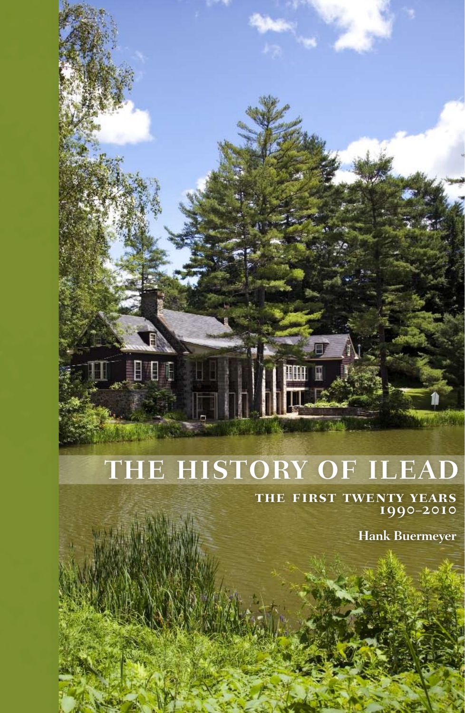# **THE HISTORY OF ILEAD**

Ë

**the first twenty years 1990–2010**

**Hank Buermeyer**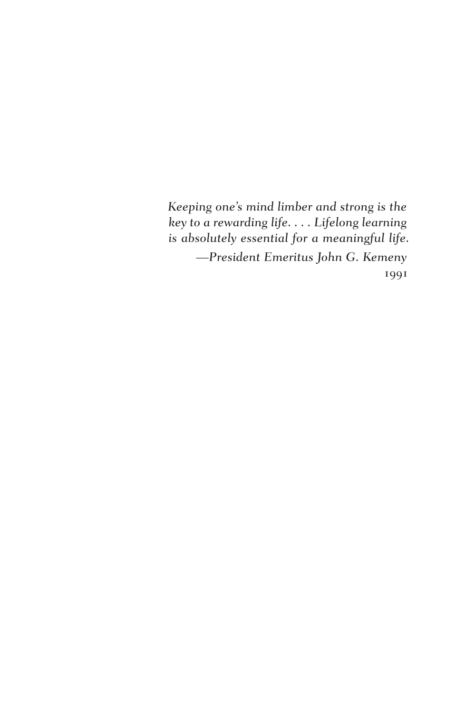*Keeping one's mind limber and strong is the key to a rewarding life. . . . Lifelong learning is absolutely essential for a meaningful life. —President Emeritus John G. Kemeny* 1991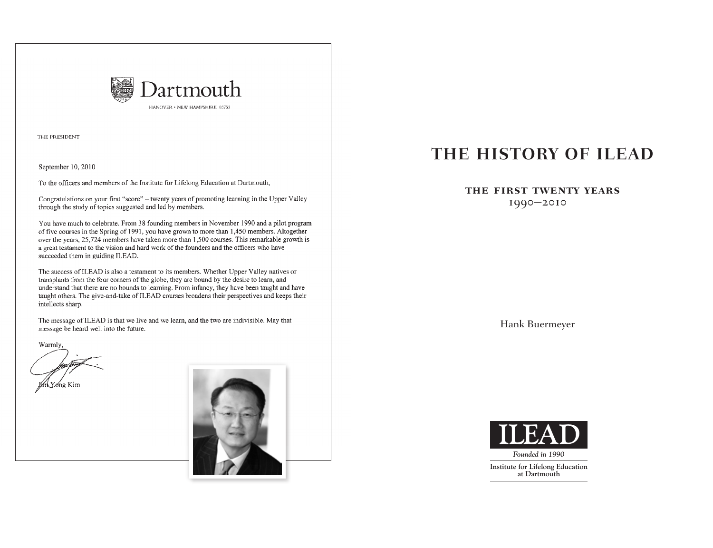

THE PRESIDENT

September 10, 2010

To the officers and members of the Institute for Lifelong Education at Dartmouth,

Congratulations on your first "score" - twenty years of promoting learning in the Upper Valley through the study of topics suggested and led by members.

You have much to celebrate. From 38 founding members in November 1990 and a pilot program of five courses in the Spring of 1991, you have grown to more than 1,450 members. Altogether over the years, 25,724 members have taken more than 1,500 courses. This remarkable growth is a great testament to the vision and hard work of the founders and the officers who have succeeded them in guiding ILEAD.

The success of ILEAD is also a testament to its members. Whether Upper Valley natives or transplants from the four corners of the globe, they are bound by the desire to learn, and understand that there are no bounds to learning. From infancy, they have been taught and have taught others. The give-and-take of ILEAD courses broadens their perspectives and keeps their intellects sharp.

The message of ILEAD is that we live and we learn, and the two are indivisible. May that message be heard well into the future.

Warmly,



## **THE HISTORY OF ILEAD**

#### **the first twenty years**

1990**–**2010

Hank Buermeyer



**Institute for Lifelong Education at Dartmouth**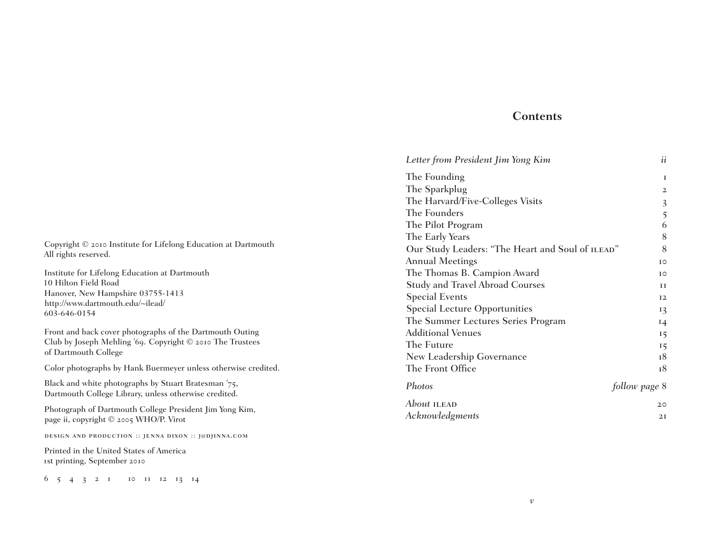#### **Contents**

| Letter from President Jim Yong Kim               | ii            |
|--------------------------------------------------|---------------|
| The Founding                                     | T             |
| The Sparkplug                                    | $\mathbf{2}$  |
| The Harvard/Five-Colleges Visits                 | 3             |
| The Founders                                     | 5             |
| The Pilot Program                                | 6             |
| The Early Years                                  | 8             |
| Our Study Leaders: "The Heart and Soul of ILEAD" | 8             |
| <b>Annual Meetings</b>                           | IO            |
| The Thomas B. Campion Award                      | <b>TO</b>     |
| <b>Study and Travel Abroad Courses</b>           | H             |
| <b>Special Events</b>                            | 12            |
| <b>Special Lecture Opportunities</b>             | 13            |
| The Summer Lectures Series Program               | 14            |
| <b>Additional Venues</b>                         | 15            |
| The Future                                       | 15            |
| New Leadership Governance                        | 18            |
| The Front Office                                 | 18            |
| Photos                                           | follow page 8 |
| About ILEAD                                      | 20            |
| Acknowledgments                                  | 2I            |

*v*

Copyright © 2010 Institute for Lifelong Education at Dartmouth All rights reserved.

Institute for Lifelong Education at Dartmouth 10 Hilton Field Road Hanover, New Hampshire 03755-1413 http://www.dartmouth.edu/~ilead/ 603-646-0154

Front and back cover photographs of the Dartmouth Outing Club by Joseph Mehling '69. Copyright © 2010 The Trustees of Dartmouth College

Color photographs by Hank Buermeyer unless otherwise credited.

Black and white photographs by Stuart Bratesman '75, Dartmouth College Library, unless otherwise credited.

Photograph of Dartmouth College President Jim Yong Kim, page ii, copyright © 2005 WHO/P. Virot

design and production :: jenna dixon :: j@djinna.com

Printed in the United States of America 1st printing, September 2010

6 5 4 3 2 1 10 11 12 13 14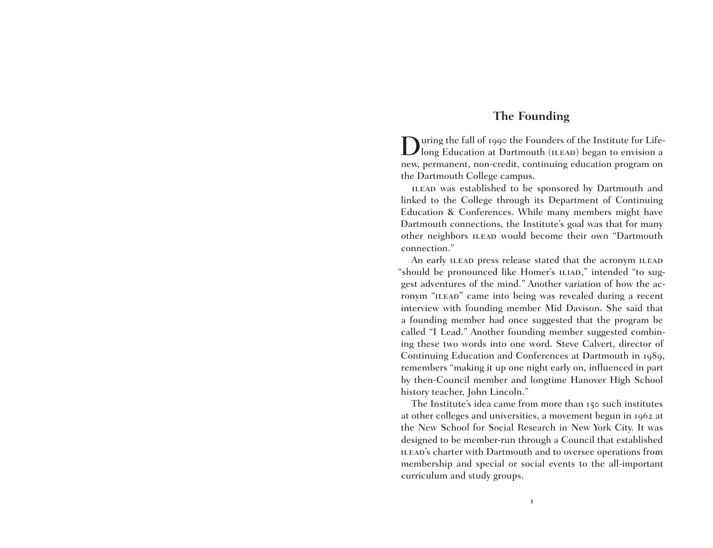#### **The Founding**

During the fall of 1990 the Founders of the Institute for Life-long Education at Dartmouth (ilead) began to envision a new, permanent, non-credit, continuing education program on the Dartmouth College campus.

ILEAD was established to be sponsored by Dartmouth and linked to the College through its Department of Continuing Education & Conferences. While many members might have Dartmouth connections, the Institute's goal was that for many other neighbors ilead would become their own "Dartmouth connection."

An early ILEAD press release stated that the acronym ILEAD "should be pronounced like Homer's ILIAD," intended "to suggest adventures of the mind." Another variation of how the acronym "ILEAD" came into being was revealed during a recent interview with founding member Mid Davison. She said that a founding member had once suggested that the program be called "I Lead." Another founding member suggested combining these two words into one word. Steve Calvert, director of Continuing Education and Conferences at Dartmouth in 1989, remembers "making it up one night early on, influenced in part by then-Council member and longtime Hanover High School history teacher, John Lincoln."

The Institute's idea came from more than 150 such institutes at other colleges and universities, a movement begun in 1962 at the New School for Social Research in New York City. It was designed to be member-run through a Council that established ILEAD's charter with Dartmouth and to oversee operations from membership and special or social events to the all-important curriculum and study groups.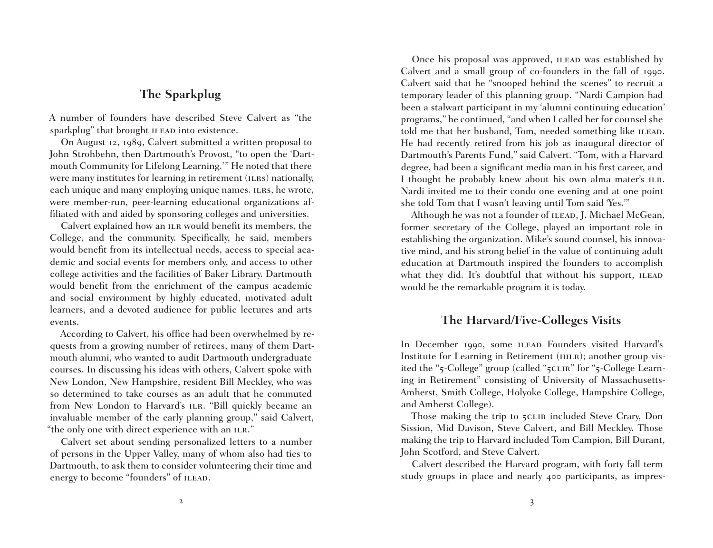## **The Sparkplug**

A number of founders have described Steve Calvert as "the sparkplug" that brought ILEAD into existence.

On August 12, 1989, Calvert submitted a written proposal to John Strohbehn, then Dartmouth's Provost, "to open the 'Dartmouth Community for Lifelong Learning.'" He noted that there were many institutes for learning in retirement (ILRS) nationally, each unique and many employing unique names. ILRS, he wrote, were member-run, peer-learning educational organizations affiliated with and aided by sponsoring colleges and universities.

Calvert explained how an ILR would benefit its members, the College, and the community. Specifically, he said, members would benefit from its intellectual needs, access to special academic and social events for members only, and access to other college activities and the facilities of Baker Library. Dartmouth would benefit from the enrichment of the campus academic and social environment by highly educated, motivated adult learners, and a devoted audience for public lectures and arts events.

According to Calvert, his office had been overwhelmed by requests from a growing number of retirees, many of them Dartmouth alumni, who wanted to audit Dartmouth undergraduate courses. In discussing his ideas with others, Calvert spoke with New London, New Hampshire, resident Bill Meckley, who was so determined to take courses as an adult that he commuted from New London to Harvard's ILR. "Bill quickly became an invaluable member of the early planning group," said Calvert, "the only one with direct experience with an ILR."

Calvert set about sending personalized letters to a number of persons in the Upper Valley, many of whom also had ties to Dartmouth, to ask them to consider volunteering their time and energy to become "founders" of ILEAD.

Once his proposal was approved, ILEAD was established by Calvert and a small group of co-founders in the fall of 1990. Calvert said that he "snooped behind the scenes" to recruit a temporary leader of this planning group. "Nardi Campion had been a stalwart participant in my 'alumni continuing education' programs," he continued, "and when I called her for counsel she told me that her husband, Tom, needed something like ILEAD. He had recently retired from his job as inaugural director of Dartmouth's Parents Fund," said Calvert. "Tom, with a Harvard degree, had been a significant media man in his first career, and I thought he probably knew about his own alma mater's ILR. Nardi invited me to their condo one evening and at one point she told Tom that I wasn't leaving until Tom said 'Yes.'"

Although he was not a founder of ILEAD, J. Michael McGean, former secretary of the College, played an important role in establishing the organization. Mike's sound counsel, his innovative mind, and his strong belief in the value of continuing adult education at Dartmouth inspired the founders to accomplish what they did. It's doubtful that without his support, ILEAD would be the remarkable program it is today.

## **The Harvard/Five-Colleges Visits**

In December 1990, some ILEAD Founders visited Harvard's Institute for Learning in Retirement (HILR); another group visited the "5-College" group (called "5CLIR" for "5-College Learning in Retirement" consisting of University of Massachusetts-Amherst, Smith College, Holyoke College, Hampshire College, and Amherst College).

Those making the trip to 5CLIR included Steve Crary, Don Sission, Mid Davison, Steve Calvert, and Bill Meckley. Those making the trip to Harvard included Tom Campion, Bill Durant, John Scotford, and Steve Calvert.

Calvert described the Harvard program, with forty fall term study groups in place and nearly 400 participants, as impres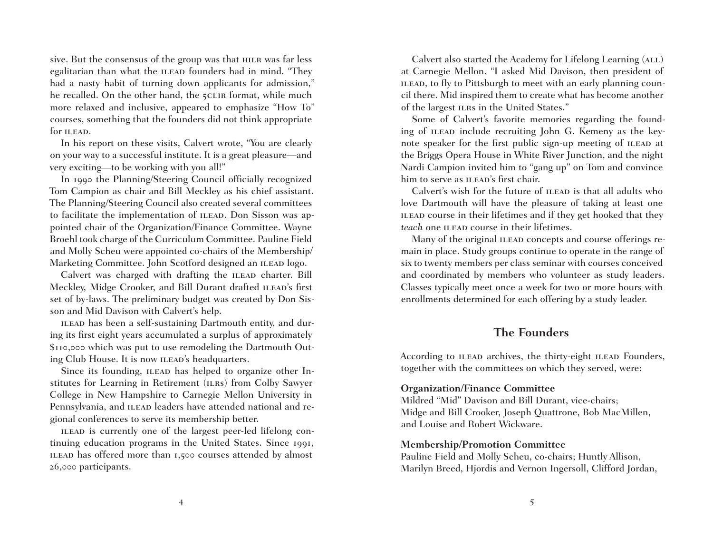sive. But the consensus of the group was that HILR was far less egalitarian than what the ILEAD founders had in mind. "They had a nasty habit of turning down applicants for admission," he recalled. On the other hand, the 5CLIR format, while much more relaxed and inclusive, appeared to emphasize "How To" courses, something that the founders did not think appropriate for ILEAD.

In his report on these visits, Calvert wrote, "You are clearly on your way to a successful institute. It is a great pleasure—and very exciting—to be working with you all!"

In 1990 the Planning/Steering Council officially recognized Tom Campion as chair and Bill Meckley as his chief assistant. The Planning/Steering Council also created several committees to facilitate the implementation of ILEAD. Don Sisson was appointed chair of the Organization/Finance Committee. Wayne Broehl took charge of the Curriculum Committee. Pauline Field and Molly Scheu were appointed co-chairs of the Membership/ Marketing Committee. John Scotford designed an ILEAD logo.

Calvert was charged with drafting the ILEAD charter. Bill Meckley, Midge Crooker, and Bill Durant drafted ILEAD's first set of by-laws. The preliminary budget was created by Don Sisson and Mid Davison with Calvert's help.

ILEAD has been a self-sustaining Dartmouth entity, and during its first eight years accumulated a surplus of approximately \$110,000 which was put to use remodeling the Dartmouth Outing Club House. It is now ILEAD's headquarters.

Since its founding, ILEAD has helped to organize other Institutes for Learning in Retirement (ILRS) from Colby Sawyer College in New Hampshire to Carnegie Mellon University in Pennsylvania, and ILEAD leaders have attended national and regional conferences to serve its membership better.

ILEAD is currently one of the largest peer-led lifelong continuing education programs in the United States. Since 1991, ilead has offered more than 1,500 courses attended by almost 26,000 participants.

Calvert also started the Academy for Lifelong Learning (ALL) at Carnegie Mellon. "I asked Mid Davison, then president of ILEAD, to fly to Pittsburgh to meet with an early planning council there. Mid inspired them to create what has become another of the largest ILRs in the United States."

Some of Calvert's favorite memories regarding the founding of ILEAD include recruiting John G. Kemeny as the keynote speaker for the first public sign-up meeting of ILEAD at the Briggs Opera House in White River Junction, and the night Nardi Campion invited him to "gang up" on Tom and convince him to serve as ILEAD's first chair.

Calvert's wish for the future of ILEAD is that all adults who love Dartmouth will have the pleasure of taking at least one ilead course in their lifetimes and if they get hooked that they *teach* one ILEAD course in their lifetimes.

Many of the original ILEAD concepts and course offerings remain in place. Study groups continue to operate in the range of six to twenty members per class seminar with courses conceived and coordinated by members who volunteer as study leaders. Classes typically meet once a week for two or more hours with enrollments determined for each offering by a study leader.

## **The Founders**

According to ILEAD archives, the thirty-eight ILEAD Founders, together with the committees on which they served, were:

#### **Organization/Finance Committee**

Mildred "Mid" Davison and Bill Durant, vice-chairs; Midge and Bill Crooker, Joseph Quattrone, Bob MacMillen, and Louise and Robert Wickware.

#### **Membership/Promotion Committee**

Pauline Field and Molly Scheu, co-chairs; Huntly Allison, Marilyn Breed, Hjordis and Vernon Ingersoll, Clifford Jordan,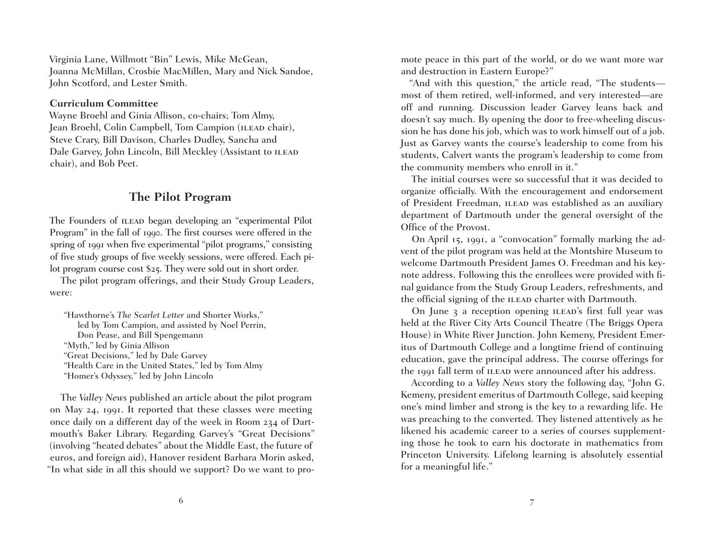Virginia Lane, Willmott "Bin" Lewis, Mike McGean, Joanna McMillan, Crosbie MacMillen, Mary and Nick Sandoe, John Scotford, and Lester Smith.

#### **Curriculum Committee**

Wayne Broehl and Ginia Allison, co-chairs; Tom Almy, Jean Broehl, Colin Campbell, Tom Campion (ILEAD chair), Steve Crary, Bill Davison, Charles Dudley, Sancha and Dale Garvey, John Lincoln, Bill Meckley (Assistant to ILEAD chair), and Bob Peet.

#### **The Pilot Program**

The Founders of ILEAD began developing an "experimental Pilot Program" in the fall of 1990. The first courses were offered in the spring of 1991 when five experimental "pilot programs," consisting of five study groups of five weekly sessions, were offered. Each pilot program course cost \$25. They were sold out in short order.

The pilot program offerings, and their Study Group Leaders, were:

"Hawthorne's *The Scarlet Letter* and Shorter Works," led by Tom Campion, and assisted by Noel Perrin, Don Pease, and Bill Spengemann "Myth," led by Ginia Allison "Great Decisions," led by Dale Garvey "Health Care in the United States," led by Tom Almy "Homer's Odyssey," led by John Lincoln

The *Valley News* published an article about the pilot program on May 24, 1991. It reported that these classes were meeting once daily on a different day of the week in Room 234 of Dartmouth's Baker Library. Regarding Garvey's "Great Decisions" (involving "heated debates" about the Middle East, the future of euros, and foreign aid), Hanover resident Barbara Morin asked, "In what side in all this should we support? Do we want to promote peace in this part of the world, or do we want more war and destruction in Eastern Europe?"

"And with this question," the article read, "The students most of them retired, well-informed, and very interested—are off and running. Discussion leader Garvey leans back and doesn't say much. By opening the door to free-wheeling discussion he has done his job, which was to work himself out of a job. Just as Garvey wants the course's leadership to come from his students, Calvert wants the program's leadership to come from the community members who enroll in it."

The initial courses were so successful that it was decided to organize officially. With the encouragement and endorsement of President Freedman, ILEAD was established as an auxiliary department of Dartmouth under the general oversight of the Office of the Provost.

On April 15, 1991, a "convocation" formally marking the advent of the pilot program was held at the Montshire Museum to welcome Dartmouth President James O. Freedman and his keynote address. Following this the enrollees were provided with final guidance from the Study Group Leaders, refreshments, and the official signing of the ILEAD charter with Dartmouth.

On June 3 a reception opening ILEAD's first full year was held at the River City Arts Council Theatre (The Briggs Opera House) in White River Junction. John Kemeny, President Emeritus of Dartmouth College and a longtime friend of continuing education, gave the principal address. The course offerings for the 1991 fall term of ILEAD were announced after his address.

According to a *Valley News* story the following day, "John G. Kemeny, president emeritus of Dartmouth College, said keeping one's mind limber and strong is the key to a rewarding life. He was preaching to the converted. They listened attentively as he likened his academic career to a series of courses supplementing those he took to earn his doctorate in mathematics from Princeton University. Lifelong learning is absolutely essential for a meaningful life."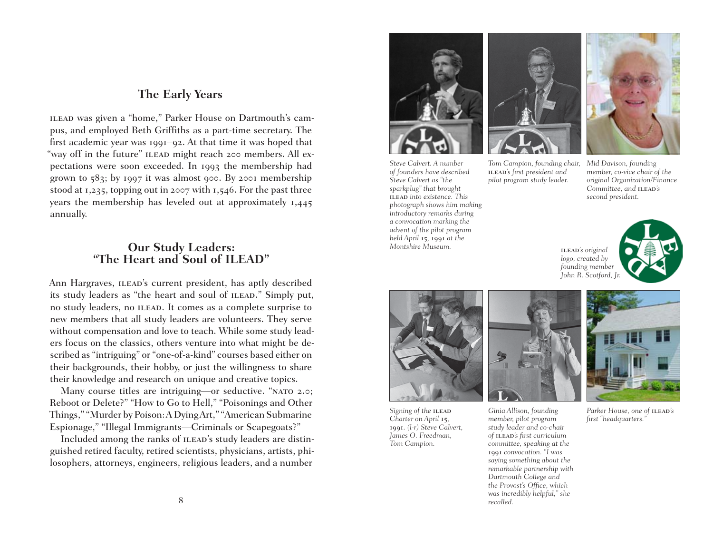#### **The Early Years**

ilead was given a "home," Parker House on Dartmouth's campus, and employed Beth Griffiths as a part-time secretary. The first academic year was 1991–92. At that time it was hoped that "way off in the future" ILEAD might reach 200 members. All expectations were soon exceeded. In 1993 the membership had grown to 583; by 1997 it was almost 900. By 2001 membership stood at 1,235, topping out in 2007 with 1,546. For the past three years the membership has leveled out at approximately 1,445 annually.

## **Our Study Leaders: "The Heart and Soul of ILEAD"**

Ann Hargraves, ILEAD's current president, has aptly described its study leaders as "the heart and soul of ILEAD." Simply put, no study leaders, no ILEAD. It comes as a complete surprise to new members that all study leaders are volunteers. They serve without compensation and love to teach. While some study leaders focus on the classics, others venture into what might be described as "intriguing" or "one-of-a-kind" courses based either on their backgrounds, their hobby, or just the willingness to share their knowledge and research on unique and creative topics.

Many course titles are intriguing—or seductive. "NATO 2.0; Reboot or Delete?" "How to Go to Hell," "Poisonings and Other Things," "Murder by Poison: A Dying Art," "American Submarine Espionage," "Illegal Immigrants—Criminals or Scapegoats?"

Included among the ranks of ILEAD's study leaders are distinguished retired faculty, retired scientists, physicians, artists, philosophers, attorneys, engineers, religious leaders, and a number



*Steve Calvert. A number of founders have described Steve Calvert as "the sparkplug" that brought*  ilead *into existence. This photograph shows him making introductory remarks during a convocation marking the advent of the pilot program held April* 15*,* 1991 *at the Montshire Museum.*



*Tom Campion, founding chair,*  ilead*'s first president and pilot program study leader.*



*Mid Davison, founding member, co-vice chair of the original Organization/Finance Committee, and* ilead*'s second president.*

ilead*'s original logo, created by founding member John R. Scotford, Jr.*



*Signing of the* ilead *Charter on April* 15*,*  1991*. (l-r) Steve Calvert, James O. Freedman, Tom Campion.*



*Ginia Allison, founding member, pilot program study leader and co-chair of* ilead*'s first curriculum committee, speaking at the*  1991 *convocation. "I was saying something about the remarkable partnership with Dartmouth College and the Provost's Office, which was incredibly helpful," she recalled.*



*Parker House, one of ILEAD's first "headquarters."*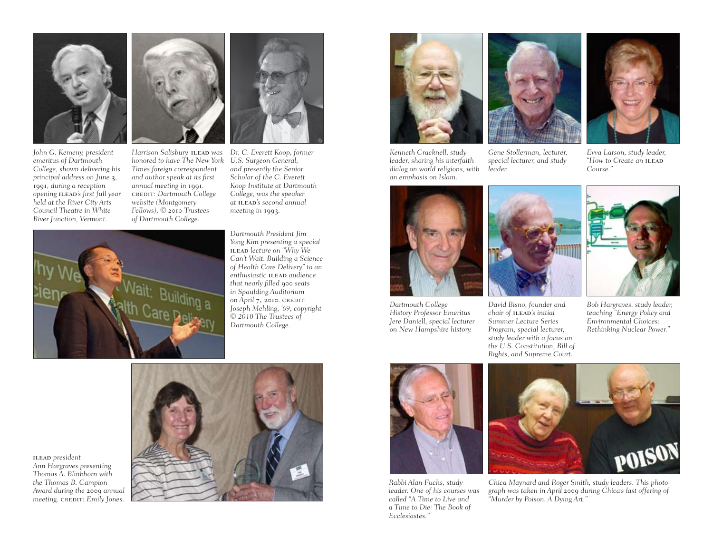

*John G. Kemeny, president emeritus of Dartmouth College, shown delivering his principal address on June* 3*,*  1991*, during a reception opening* ilead*'s first full year held at the River City Arts Council Theatre in White River Junction, Vermont.*



*Harrison Salisbury.* ilead *was honored to have The New York Times foreign correspondent and author speak at its first annual meeting in* 1991*.*  credit: *Dartmouth College website (Montgomery Fellows), ©* 2010 *Trustees of Dartmouth College.*

*Dr. C. Everett Koop, former U.S. Surgeon General, and presently the Senior Scholar of the C. Everett Koop Institute at Dartmouth College, was the speaker at* ilead*'s second annual meeting in* 1993*.*

> *Dartmouth President Jim Yong Kim presenting a special*  ilead *lecture on "Why We Can't Wait: Building a Science of Health Care Delivery" to an*   $e$ <sup>*enthusiastic* **ILEAD** *audience*</sup> *that nearly filled* 900 *seats in Spaulding Auditorium on April* 7, 2010*.* credit: *Joseph Mehling, '69, copyright © 2010 The Trustees of Dartmouth College.*



*Kenneth Cracknell, study leader, sharing his interfaith dialog on world religions, with an emphasis on Islam.* 



*Gene Stollerman, lecturer, special lecturer, and study leader.*



*Evva Larson, study leader, "How to Create an* ilead *Course."*



*Dartmouth College History Professor Emeritus Jere Daniell, special lecturer on New Hampshire history.*



*David Bisno, founder and*   $chi$ *indir of ILEAD's initial Summer Lecture Series Program, special lecturer, study leader with a focus on the U.S. Constitution, Bill of Rights, and Supreme Court.*



*Bob Hargraves, study leader, teaching "Energy Policy and Environmental Choices: Rethinking Nuclear Power."*



ilead *president Ann Hargraves presenting Thomas A. Blinkhorn with the Thomas B. Campion Award during the* 2009 *annual*   $meeting.$  *cREDIT: Emily Jones.* 



*Rabbi Alan Fuchs, study leader. One of his courses was called "A Time to Live and a Time to Die: The Book of Ecclesiastes."*



*Chica Maynard and Roger Smith, study leaders. This photograph was taken in April* 2009 *during Chica's last offering of "Murder by Poison: A Dying Art."*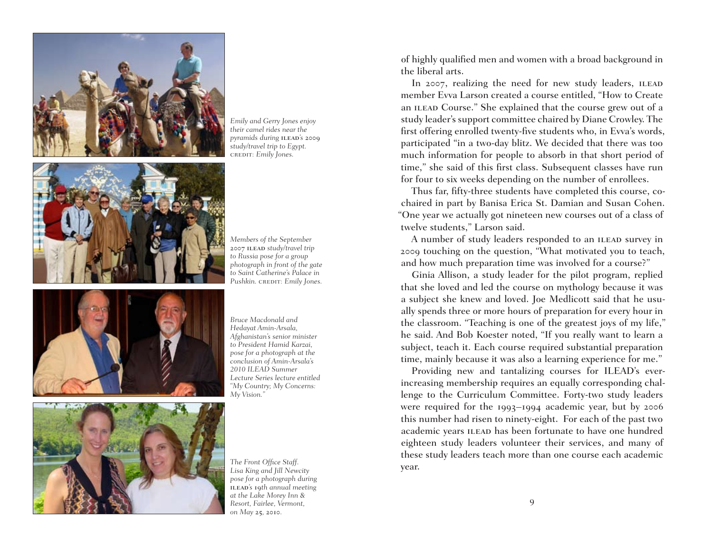





*Members of the September*  2007 ilead *study/travel trip to Russia pose for a group photograph in front of the gate to Saint Catherine's Palace in Pushkin.* credit: *Emily Jones.*



*Bruce Macdonald and Hedayat Amin-Arsala, Afghanistan's senior minister to President Hamid Karzai, pose for a photograph at the conclusion of Amin-Arsala's 2010 ILEAD Summer Lecture Series lecture entitled "My Country; My Concerns: My Vision."*



*The Front Office Staff. Lisa King and Jill Newcity pose for a photograph during*  ilead*'s* 19*th annual meeting at the Lake Morey Inn & Resort, Fairlee, Vermont, on May* 25*,* 2010*.*

of highly qualified men and women with a broad background in the liberal arts.

In 2007, realizing the need for new study leaders, ILEAD member Evva Larson created a course entitled, "How to Create an ILEAD Course." She explained that the course grew out of a study leader's support committee chaired by Diane Crowley. The first offering enrolled twenty-five students who, in Evva's words, participated "in a two-day blitz. We decided that there was too much information for people to absorb in that short period of time," she said of this first class. Subsequent classes have run for four to six weeks depending on the number of enrollees.

Thus far, fifty-three students have completed this course, cochaired in part by Banisa Erica St. Damian and Susan Cohen. "One year we actually got nineteen new courses out of a class of twelve students," Larson said.

A number of study leaders responded to an ILEAD survey in 2009 touching on the question, "What motivated you to teach, and how much preparation time was involved for a course?"

Ginia Allison, a study leader for the pilot program, replied that she loved and led the course on mythology because it was a subject she knew and loved. Joe Medlicott said that he usually spends three or more hours of preparation for every hour in the classroom. "Teaching is one of the greatest joys of my life," he said. And Bob Koester noted, "If you really want to learn a subject, teach it. Each course required substantial preparation time, mainly because it was also a learning experience for me."

Providing new and tantalizing courses for ILEAD's everincreasing membership requires an equally corresponding challenge to the Curriculum Committee. Forty-two study leaders were required for the 1993–1994 academic year, but by 2006 this number had risen to ninety-eight. For each of the past two academic years ILEAD has been fortunate to have one hundred eighteen study leaders volunteer their services, and many of these study leaders teach more than one course each academic year.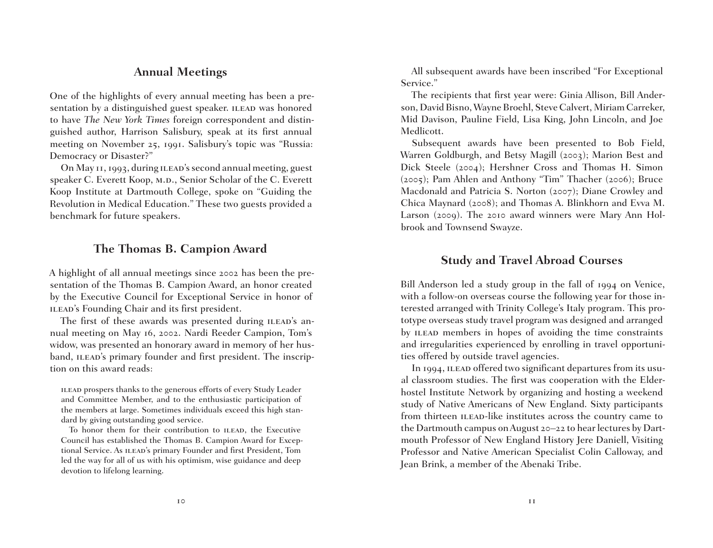#### **Annual Meetings**

One of the highlights of every annual meeting has been a presentation by a distinguished guest speaker. ILEAD was honored to have *The New York Times* foreign correspondent and distinguished author, Harrison Salisbury, speak at its first annual meeting on November 25, 1991. Salisbury's topic was "Russia: Democracy or Disaster?"

On May 11, 1993, during ilead's second annual meeting, guest speaker C. Everett Koop, M.D., Senior Scholar of the C. Everett Koop Institute at Dartmouth College, spoke on "Guiding the Revolution in Medical Education." These two guests provided a benchmark for future speakers.

#### **The Thomas B. Campion Award**

A highlight of all annual meetings since 2002 has been the presentation of the Thomas B. Campion Award, an honor created by the Executive Council for Exceptional Service in honor of ILEAD's Founding Chair and its first president.

The first of these awards was presented during ILEAD's annual meeting on May 16, 2002. Nardi Reeder Campion, Tom's widow, was presented an honorary award in memory of her husband, ILEAD's primary founder and first president. The inscription on this award reads:

ilead prospers thanks to the generous efforts of every Study Leader and Committee Member, and to the enthusiastic participation of the members at large. Sometimes individuals exceed this high standard by giving outstanding good service.

To honor them for their contribution to ILEAD, the Executive Council has established the Thomas B. Campion Award for Exceptional Service. As ILEAD's primary Founder and first President, Tom led the way for all of us with his optimism, wise guidance and deep devotion to lifelong learning.

All subsequent awards have been inscribed "For Exceptional Service."

The recipients that first year were: Ginia Allison, Bill Anderson, David Bisno, Wayne Broehl, Steve Calvert, Miriam Carreker, Mid Davison, Pauline Field, Lisa King, John Lincoln, and Joe Medlicott.

Subsequent awards have been presented to Bob Field, Warren Goldburgh, and Betsy Magill (2003); Marion Best and Dick Steele (2004); Hershner Cross and Thomas H. Simon (2005); Pam Ahlen and Anthony "Tim" Thacher (2006); Bruce Macdonald and Patricia S. Norton (2007); Diane Crowley and Chica Maynard (2008); and Thomas A. Blinkhorn and Evva M. Larson (2009). The 2010 award winners were Mary Ann Holbrook and Townsend Swayze.

## **Study and Travel Abroad Courses**

Bill Anderson led a study group in the fall of 1994 on Venice, with a follow-on overseas course the following year for those interested arranged with Trinity College's Italy program. This prototype overseas study travel program was designed and arranged by ILEAD members in hopes of avoiding the time constraints and irregularities experienced by enrolling in travel opportunities offered by outside travel agencies.

In 1994, ILEAD offered two significant departures from its usual classroom studies. The first was cooperation with the Elderhostel Institute Network by organizing and hosting a weekend study of Native Americans of New England. Sixty participants from thirteen ILEAD-like institutes across the country came to the Dartmouth campus on August 20–22 to hear lectures by Dartmouth Professor of New England History Jere Daniell, Visiting Professor and Native American Specialist Colin Calloway, and Jean Brink, a member of the Abenaki Tribe.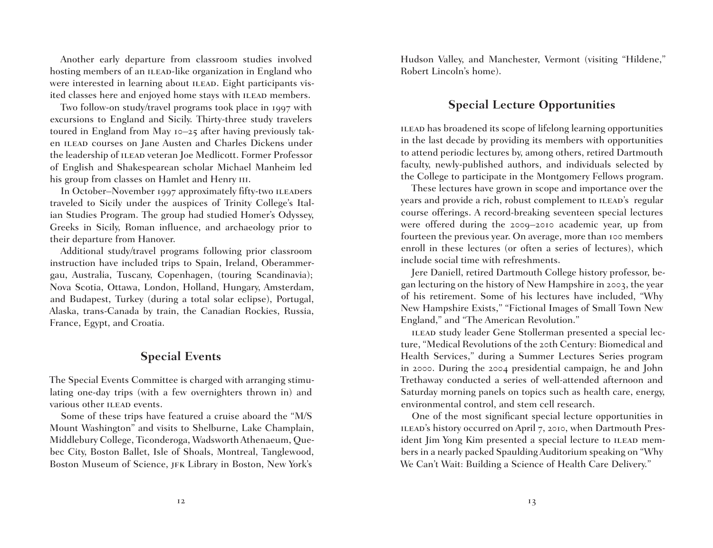Another early departure from classroom studies involved hosting members of an ILEAD-like organization in England who were interested in learning about ILEAD. Eight participants visited classes here and enjoyed home stays with ILEAD members.

Two follow-on study/travel programs took place in 1997 with excursions to England and Sicily. Thirty-three study travelers toured in England from May 10–25 after having previously taken ILEAD courses on Jane Austen and Charles Dickens under the leadership of ILEAD veteran Joe Medlicott. Former Professor of English and Shakespearean scholar Michael Manheim led his group from classes on Hamlet and Henry III.

In October–November 1997 approximately fifty-two ILEADers traveled to Sicily under the auspices of Trinity College's Italian Studies Program. The group had studied Homer's Odyssey, Greeks in Sicily, Roman influence, and archaeology prior to their departure from Hanover.

Additional study/travel programs following prior classroom instruction have included trips to Spain, Ireland, Oberammergau, Australia, Tuscany, Copenhagen, (touring Scandinavia); Nova Scotia, Ottawa, London, Holland, Hungary, Amsterdam, and Budapest, Turkey (during a total solar eclipse), Portugal, Alaska, trans-Canada by train, the Canadian Rockies, Russia, France, Egypt, and Croatia.

#### **Special Events**

The Special Events Committee is charged with arranging stimulating one-day trips (with a few overnighters thrown in) and various other ILEAD events.

Some of these trips have featured a cruise aboard the "M/S Mount Washington" and visits to Shelburne, Lake Champlain, Middlebury College, Ticonderoga, Wadsworth Athenaeum, Quebec City, Boston Ballet, Isle of Shoals, Montreal, Tanglewood, Boston Museum of Science, JFK Library in Boston, New York's

Hudson Valley, and Manchester, Vermont (visiting "Hildene," Robert Lincoln's home).

## **Special Lecture Opportunities**

ilead has broadened its scope of lifelong learning opportunities in the last decade by providing its members with opportunities to attend periodic lectures by, among others, retired Dartmouth faculty, newly-published authors, and individuals selected by the College to participate in the Montgomery Fellows program.

These lectures have grown in scope and importance over the years and provide a rich, robust complement to ILEAD's regular course offerings. A record-breaking seventeen special lectures were offered during the 2009–2010 academic year, up from fourteen the previous year. On average, more than 100 members enroll in these lectures (or often a series of lectures), which include social time with refreshments.

Jere Daniell, retired Dartmouth College history professor, began lecturing on the history of New Hampshire in 2003, the year of his retirement. Some of his lectures have included, "Why New Hampshire Exists," "Fictional Images of Small Town New England," and "The American Revolution."

ILEAD study leader Gene Stollerman presented a special lecture, "Medical Revolutions of the 20th Century: Biomedical and Health Services," during a Summer Lectures Series program in 2000. During the 2004 presidential campaign, he and John Trethaway conducted a series of well-attended afternoon and Saturday morning panels on topics such as health care, energy, environmental control, and stem cell research.

One of the most significant special lecture opportunities in ILEAD's history occurred on April 7, 2010, when Dartmouth President Jim Yong Kim presented a special lecture to ILEAD members in a nearly packed Spaulding Auditorium speaking on "Why We Can't Wait: Building a Science of Health Care Delivery."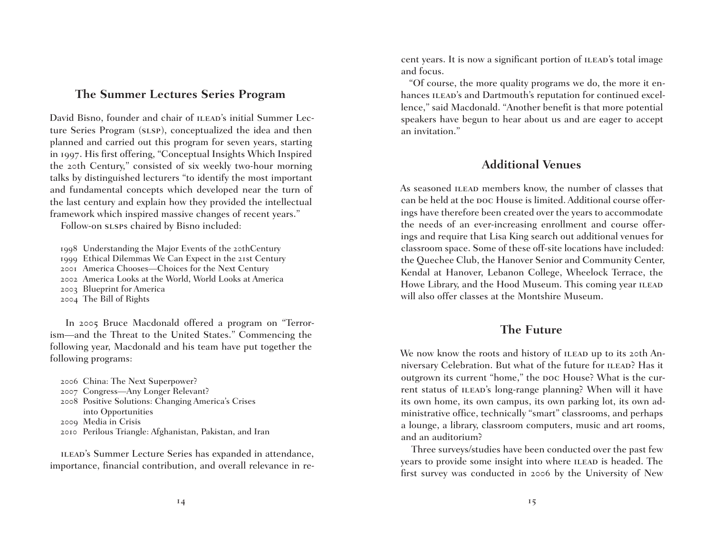#### **The Summer Lectures Series Program**

David Bisno, founder and chair of ILEAD's initial Summer Lecture Series Program (SLSP), conceptualized the idea and then planned and carried out this program for seven years, starting in 1997. His first offering, "Conceptual Insights Which Inspired the 20th Century," consisted of six weekly two-hour morning talks by distinguished lecturers "to identify the most important and fundamental concepts which developed near the turn of the last century and explain how they provided the intellectual framework which inspired massive changes of recent years."

Follow-on sLSPs chaired by Bisno included:

1998 Understanding the Major Events of the 20thCentury

1999 Ethical Dilemmas We Can Expect in the 21st Century

2001 America Chooses—Choices for the Next Century

2002 America Looks at the World, World Looks at America

2003 Blueprint for America

2004 The Bill of Rights

 In 2005 Bruce Macdonald offered a program on "Terrorism—and the Threat to the United States." Commencing the following year, Macdonald and his team have put together the following programs:

- 2006 China: The Next Superpower?
- 2007 Congress—Any Longer Relevant?
- 2008 Positive Solutions: Changing America's Crises into Opportunities
- 2009 Media in Crisis
- 2010 Perilous Triangle: Afghanistan, Pakistan, and Iran

ILEAD's Summer Lecture Series has expanded in attendance, importance, financial contribution, and overall relevance in recent years. It is now a significant portion of ILEAD's total image and focus.

"Of course, the more quality programs we do, the more it enhances ILEAD's and Dartmouth's reputation for continued excellence," said Macdonald. "Another benefit is that more potential speakers have begun to hear about us and are eager to accept an invitation."

## **Additional Venues**

As seasoned ILEAD members know, the number of classes that can be held at the poc House is limited. Additional course offerings have therefore been created over the years to accommodate the needs of an ever-increasing enrollment and course offerings and require that Lisa King search out additional venues for classroom space. Some of these off-site locations have included: the Quechee Club, the Hanover Senior and Community Center, Kendal at Hanover, Lebanon College, Wheelock Terrace, the Howe Library, and the Hood Museum. This coming year ILEAD will also offer classes at the Montshire Museum.

## **The Future**

We now know the roots and history of ILEAD up to its 20th Anniversary Celebration. But what of the future for ILEAD? Has it outgrown its current "home," the poc House? What is the current status of ILEAD's long-range planning? When will it have its own home, its own campus, its own parking lot, its own administrative office, technically "smart" classrooms, and perhaps a lounge, a library, classroom computers, music and art rooms, and an auditorium?

Three surveys/studies have been conducted over the past few years to provide some insight into where ILEAD is headed. The first survey was conducted in 2006 by the University of New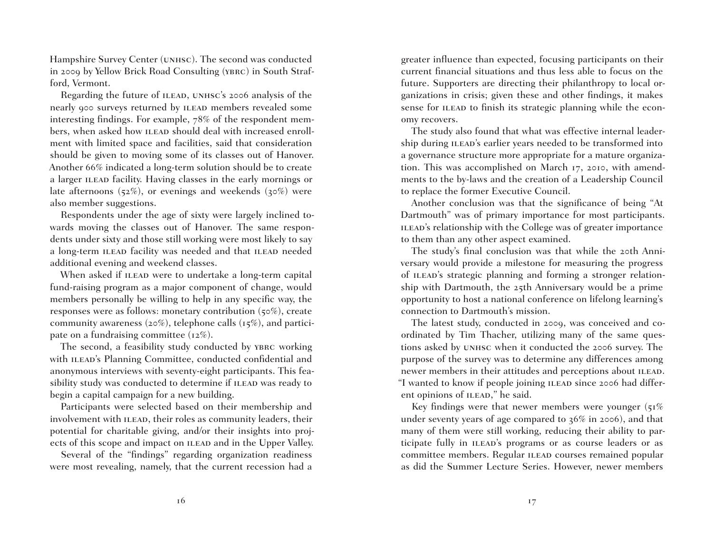Hampshire Survey Center (unhsc). The second was conducted in 2009 by Yellow Brick Road Consulting (ybrc) in South Strafford, Vermont.

Regarding the future of ILEAD, UNHSC's 2006 analysis of the nearly 900 surveys returned by ILEAD members revealed some interesting findings. For example, 78% of the respondent members, when asked how ILEAD should deal with increased enrollment with limited space and facilities, said that consideration should be given to moving some of its classes out of Hanover. Another 66% indicated a long-term solution should be to create a larger ILEAD facility. Having classes in the early mornings or late afternoons  $(52\%)$ , or evenings and weekends  $(30\%)$  were also member suggestions.

Respondents under the age of sixty were largely inclined towards moving the classes out of Hanover. The same respondents under sixty and those still working were most likely to say a long-term ILEAD facility was needed and that ILEAD needed additional evening and weekend classes.

When asked if ILEAD were to undertake a long-term capital fund-raising program as a major component of change, would members personally be willing to help in any specific way, the responses were as follows: monetary contribution (50%), create community awareness (20%), telephone calls (15%), and participate on a fundraising committee (12%).

The second, a feasibility study conducted by YBRC working with ILEAD's Planning Committee, conducted confidential and anonymous interviews with seventy-eight participants. This feasibility study was conducted to determine if ILEAD was ready to begin a capital campaign for a new building.

Participants were selected based on their membership and involvement with ILEAD, their roles as community leaders, their potential for charitable giving, and/or their insights into projects of this scope and impact on ILEAD and in the Upper Valley.

Several of the "findings" regarding organization readiness were most revealing, namely, that the current recession had a greater influence than expected, focusing participants on their current financial situations and thus less able to focus on the future. Supporters are directing their philanthropy to local organizations in crisis; given these and other findings, it makes sense for ILEAD to finish its strategic planning while the economy recovers.

The study also found that what was effective internal leadership during ILEAD's earlier years needed to be transformed into a governance structure more appropriate for a mature organization. This was accomplished on March 17, 2010, with amendments to the by-laws and the creation of a Leadership Council to replace the former Executive Council.

Another conclusion was that the significance of being "At Dartmouth" was of primary importance for most participants. ILEAD's relationship with the College was of greater importance to them than any other aspect examined.

The study's final conclusion was that while the 20th Anniversary would provide a milestone for measuring the progress of ILEAD's strategic planning and forming a stronger relationship with Dartmouth, the 25th Anniversary would be a prime opportunity to host a national conference on lifelong learning's connection to Dartmouth's mission.

The latest study, conducted in 2009, was conceived and coordinated by Tim Thacher, utilizing many of the same questions asked by unhsc when it conducted the 2006 survey. The purpose of the survey was to determine any differences among newer members in their attitudes and perceptions about ILEAD. "I wanted to know if people joining ILEAD since 2006 had different opinions of ILEAD," he said.

Key findings were that newer members were younger (51%) under seventy years of age compared to 36% in 2006), and that many of them were still working, reducing their ability to participate fully in ILEAD's programs or as course leaders or as committee members. Regular ILEAD courses remained popular as did the Summer Lecture Series. However, newer members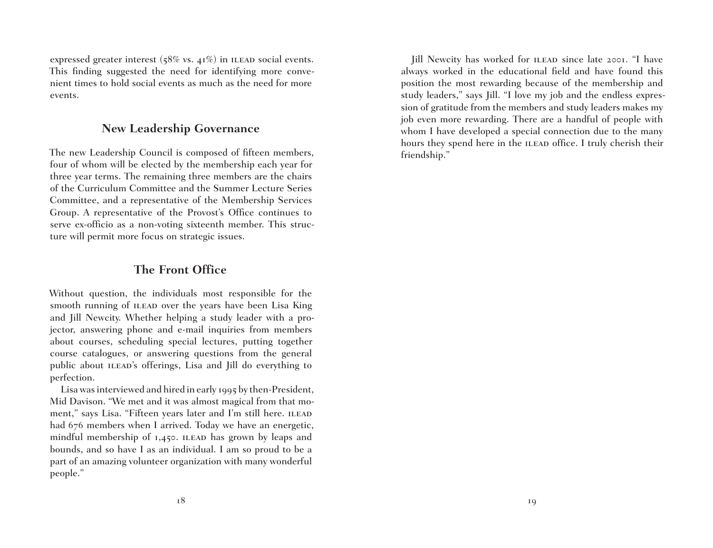expressed greater interest ( $58\%$  vs.  $41\%$ ) in ILEAD social events. This finding suggested the need for identifying more convenient times to hold social events as much as the need for more events.

#### **New Leadership Governance**

The new Leadership Council is composed of fifteen members, four of whom will be elected by the membership each year for three year terms. The remaining three members are the chairs of the Curriculum Committee and the Summer Lecture Series Committee, and a representative of the Membership Services Group. A representative of the Provost's Office continues to serve ex-officio as a non-voting sixteenth member. This structure will permit more focus on strategic issues.

## **The Front Office**

Without question, the individuals most responsible for the smooth running of ILEAD over the years have been Lisa King and Jill Newcity. Whether helping a study leader with a projector, answering phone and e-mail inquiries from members about courses, scheduling special lectures, putting together course catalogues, or answering questions from the general public about ILEAD's offerings, Lisa and Jill do everything to perfection.

Lisa was interviewed and hired in early 1995 by then-President, Mid Davison. "We met and it was almost magical from that moment," says Lisa. "Fifteen years later and I'm still here. ILEAD had 676 members when I arrived. Today we have an energetic, mindful membership of  $1,450$ . ILEAD has grown by leaps and bounds, and so have I as an individual. I am so proud to be a part of an amazing volunteer organization with many wonderful people."

Jill Newcity has worked for ILEAD since late 2001. "I have always worked in the educational field and have found this position the most rewarding because of the membership and study leaders," says Jill. "I love my job and the endless expression of gratitude from the members and study leaders makes my job even more rewarding. There are a handful of people with whom I have developed a special connection due to the many hours they spend here in the ILEAD office. I truly cherish their friendship."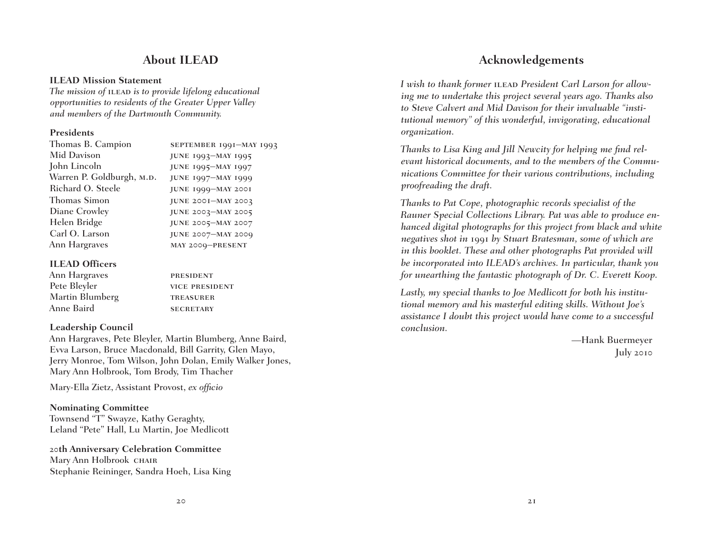## **About ILEAD**

#### **ILEAD Mission Statement**

*The mission of ILEAD is to provide lifelong educational opportunities to residents of the Greater Upper Valley and members of the Dartmouth Community.*

#### **Presidents**

| Thomas B. Campion         | SEPTEMBER 1991-MAY 1993   |
|---------------------------|---------------------------|
| Mid Davison               | JUNE 1993-MAY 1995        |
| John Lincoln              | <b>JUNE 1995-MAY 1997</b> |
| Warren P. Goldburgh, M.D. | JUNE 1997-MAY 1999        |
| Richard O. Steele         | JUNE 1999-MAY 2001        |
| Thomas Simon              | JUNE 2001-MAY 2003        |
| Diane Crowley             | JUNE 2003-MAY 2005        |
| Helen Bridge              | JUNE 2005-MAY 2007        |
| Carl O. Larson            | <b>JUNE 2007-MAY 2009</b> |
| Ann Hargraves             | MAY 2009-PRESENT          |
|                           |                           |

#### **ILEAD Officers**

| Ann Hargraves   | <b>PRESIDENT</b>      |
|-----------------|-----------------------|
| Pete Bleyler    | <b>VICE PRESIDENT</b> |
| Martin Blumberg | <b>TREASURER</b>      |
| Anne Baird      | <b>SECRETARY</b>      |
|                 |                       |

#### **Leadership Council**

Ann Hargraves, Pete Bleyler, Martin Blumberg, Anne Baird, Evva Larson, Bruce Macdonald, Bill Garrity, Glen Mayo, Jerry Monroe, Tom Wilson, John Dolan, Emily Walker Jones, Mary Ann Holbrook, Tom Brody, Tim Thacher

Mary-Ella Zietz, Assistant Provost, *ex officio*

#### **Nominating Committee**

Townsend "T" Swayze, Kathy Geraghty, Leland "Pete" Hall, Lu Martin, Joe Medlicott

#### 20**th Anniversary Celebration Committee** Mary Ann Holbrook CHAIR Stephanie Reininger, Sandra Hoeh, Lisa King

## **Acknowledgements**

I wish to thank former **ILEAD** President Carl Larson for allow*ing me to undertake this project several years ago. Thanks also to Steve Calvert and Mid Davison for their invaluable "institutional memory" of this wonderful, invigorating, educational organization.*

*Thanks to Lisa King and Jill Newcity for helping me find relevant historical documents, and to the members of the Communications Committee for their various contributions, including proofreading the draft.*

*Thanks to Pat Cope, photographic records specialist of the Rauner Special Collections Library. Pat was able to produce enhanced digital photographs for this project from black and white negatives shot in* 1991 *by Stuart Bratesman, some of which are in this booklet. These and other photographs Pat provided will be incorporated into ILEAD's archives. In particular, thank you for unearthing the fantastic photograph of Dr. C. Everett Koop.*

*Lastly, my special thanks to Joe Medlicott for both his institutional memory and his masterful editing skills. Without Joe's assistance I doubt this project would have come to a successful conclusion.*

> —Hank Buermeyer July 2010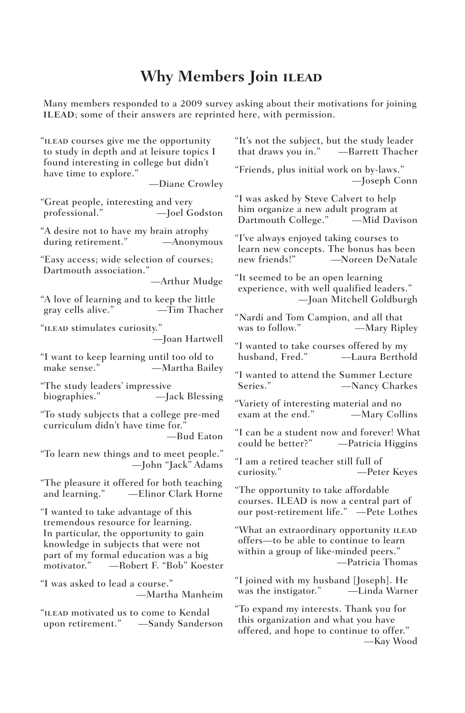## **Why Members Join ilead**

Many members responded to a 2009 survey asking about their motivations for joining ILEAD; some of their answers are reprinted here, with permission.

"ilead courses give me the opportunity to study in depth and at leisure topics I found interesting in college but didn't have time to explore." —Diane Crowley "Great people, interesting and very<br>professional." — Joel G —Joel Godston "A desire not to have my brain atrophy during retirement." —Anonymous "Easy access; wide selection of courses; Dartmouth association." —Arthur Mudge "A love of learning and to keep the little gray cells alive." "ilead stimulates curiosity." —Joan Hartwell "I want to keep learning until too old to -Martha Bailey "The study leaders' impressive biographies." —Jack Blessing "To study subjects that a college pre-med curriculum didn't have time for.' —Bud Eaton "To learn new things and to meet people." —John "Jack" Adams "The pleasure it offered for both teaching<br>and learning." ——Elinor Clark Horne -Elinor Clark Horne "I wanted to take advantage of this tremendous resource for learning. In particular, the opportunity to gain knowledge in subjects that were not part of my formal education was a big motivator." —Robert F. "Bob" Koester "I was asked to lead a course." —Martha Manheim "ilead motivated us to come to Kendal upon retirement." —Sandy Sanderson "It's not the subject, but the study leader that draws you in." —Barrett Thacher "Friends, plus initial work on by-laws." —Joseph Conn "I was asked by Steve Calvert to help him organize a new adult program at Dartmouth College." "I've always enjoyed taking courses to learn new concepts. The bonus has been -Noreen DeNatale "It seemed to be an open learning experience, with well qualified leaders." —Joan Mitchell Goldburgh "Nardi and Tom Campion, and all that —Mary Ripley "I wanted to take courses offered by my husband, Fred." —Laura Berthold "I wanted to attend the Summer Lecture Series." —Nancy Charkes "Variety of interesting material and no exam at the end." —Mary Collins "I can be a student now and forever! What —Patricia Higgins "I am a retired teacher still full of curiosity." —Peter Keyes "The opportunity to take affordable courses. ILEAD is now a central part of our post-retirement life." —Pete Lothes "What an extraordinary opportunity ILEAD offers—to be able to continue to learn within a group of like-minded peers." —Patricia Thomas "I joined with my husband [Joseph]. He was the instigator." —Linda Warner "To expand my interests. Thank you for this organization and what you have offered, and hope to continue to offer." —Kay Wood